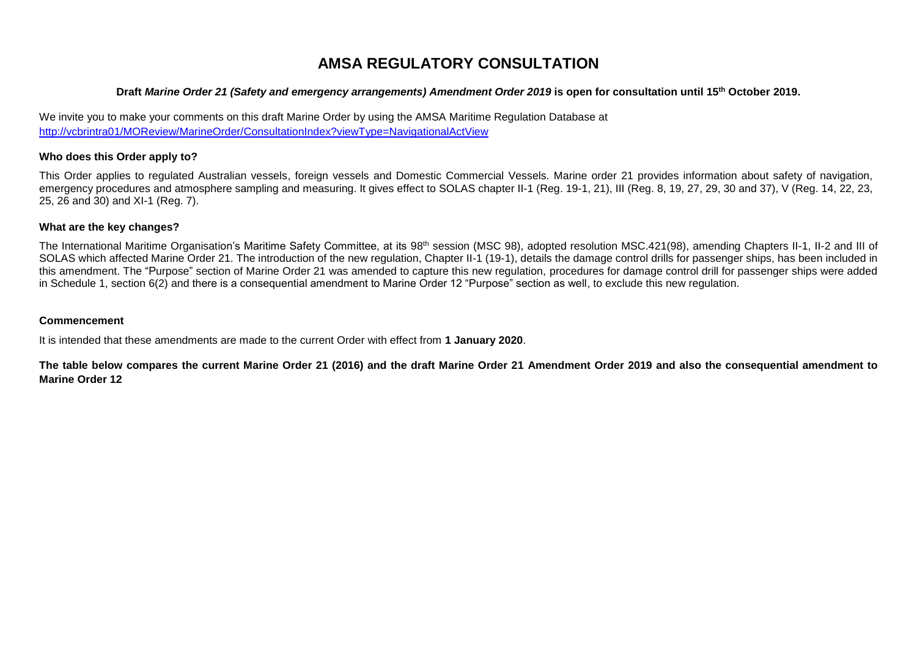## **AMSA REGULATORY CONSULTATION**

#### **Draft** *Marine Order 21 (Safety and emergency arrangements) Amendment Order 2019* **is open for consultation until 15 th October 2019.**

We invite you to make your comments on this draft Marine Order by using the AMSA Maritime Regulation Database at <http://vcbrintra01/MOReview/MarineOrder/ConsultationIndex?viewType=NavigationalActView>

#### **Who does this Order apply to?**

This Order applies to regulated Australian vessels, foreign vessels and Domestic Commercial Vessels. Marine order 21 provides information about safety of navigation, emergency procedures and atmosphere sampling and measuring. It gives effect to SOLAS chapter II-1 (Reg. 19-1, 21), III (Reg. 8, 19, 27, 29, 30 and 37), V (Reg. 14, 22, 23, 25, 26 and 30) and XI-1 (Reg. 7).

### **What are the key changes?**

The International Maritime Organisation's Maritime Safety Committee, at its 98<sup>th</sup> session (MSC 98), adopted resolution MSC.421(98), amending Chapters II-1, II-2 and III of SOLAS which affected Marine Order 21. The introduction of the new regulation, Chapter II-1 (19-1), details the damage control drills for passenger ships, has been included in this amendment. The "Purpose" section of Marine Order 21 was amended to capture this new regulation, procedures for damage control drill for passenger ships were added in Schedule 1, section 6(2) and there is a consequential amendment to Marine Order 12 "Purpose" section as well, to exclude this new regulation.

### **Commencement**

It is intended that these amendments are made to the current Order with effect from **1 January 2020**.

**The table below compares the current Marine Order 21 (2016) and the draft Marine Order 21 Amendment Order 2019 and also the consequential amendment to Marine Order 12**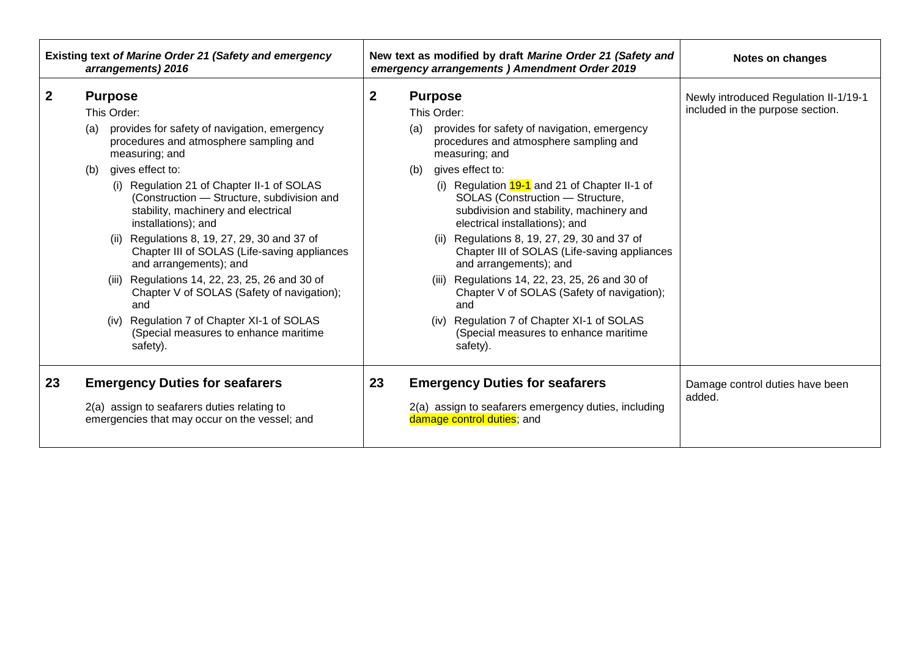| Newly introduced Regulation II-1/19-1<br>included in the purpose section. |
|---------------------------------------------------------------------------|
|                                                                           |
| Damage control duties have been<br>added.                                 |
|                                                                           |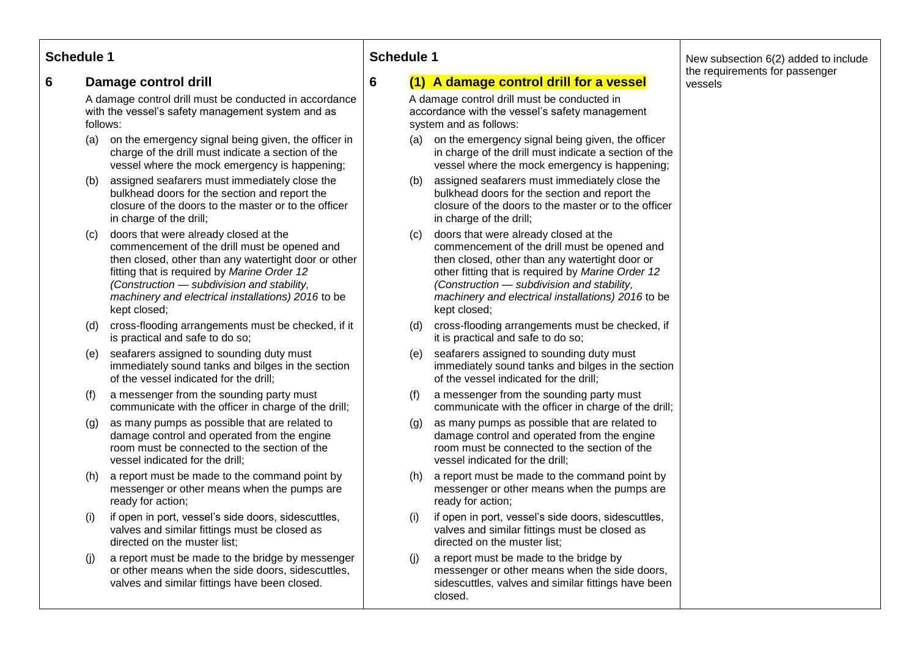## **Schedule 1**

## **6 Damage control drill**

A damage control drill must be conducted in accordance with the vessel's safety management system and as follows:

- (a) on the emergency signal being given, the officer in charge of the drill must indicate a section of the vessel where the mock emergency is happening;
- (b) assigned seafarers must immediately close the bulkhead doors for the section and report the closure of the doors to the master or to the officer in charge of the drill;
- (c) doors that were already closed at the commencement of the drill must be opened and then closed, other than any watertight door or other fitting that is required by *Marine Order 12 (Construction — subdivision and stability, machinery and electrical installations) 2016* to be kept closed;
- (d) cross-flooding arrangements must be checked, if it is practical and safe to do so;
- (e) seafarers assigned to sounding duty must immediately sound tanks and bilges in the section of the vessel indicated for the drill;
- (f) a messenger from the sounding party must communicate with the officer in charge of the drill;
- (g) as many pumps as possible that are related to damage control and operated from the engine room must be connected to the section of the vessel indicated for the drill;
- (h) a report must be made to the command point by messenger or other means when the pumps are ready for action;
- (i) if open in port, vessel's side doors, sidescuttles, valves and similar fittings must be closed as directed on the muster list;
- (j) a report must be made to the bridge by messenger or other means when the side doors, sidescuttles, valves and similar fittings have been closed.

## **Schedule 1**

## **6 (1) A damage control drill for a vessel**

A damage control drill must be conducted in accordance with the vessel's safety management system and as follows:

- (a) on the emergency signal being given, the officer in charge of the drill must indicate a section of the vessel where the mock emergency is happening;
- (b) assigned seafarers must immediately close the bulkhead doors for the section and report the closure of the doors to the master or to the officer in charge of the drill;
- (c) doors that were already closed at the commencement of the drill must be opened and then closed, other than any watertight door or other fitting that is required by *Marine Order 12 (Construction — subdivision and stability, machinery and electrical installations) 2016* to be kept closed;
- (d) cross-flooding arrangements must be checked, if it is practical and safe to do so;
- (e) seafarers assigned to sounding duty must immediately sound tanks and bilges in the section of the vessel indicated for the drill;
- (f) a messenger from the sounding party must communicate with the officer in charge of the drill;
- (g) as many pumps as possible that are related to damage control and operated from the engine room must be connected to the section of the vessel indicated for the drill;
- (h) a report must be made to the command point by messenger or other means when the pumps are ready for action;
- (i) if open in port, vessel's side doors, sidescuttles, valves and similar fittings must be closed as directed on the muster list;
- (j) a report must be made to the bridge by messenger or other means when the side doors, sidescuttles, valves and similar fittings have been closed.

New subsection 6(2) added to include the requirements for passenger vessels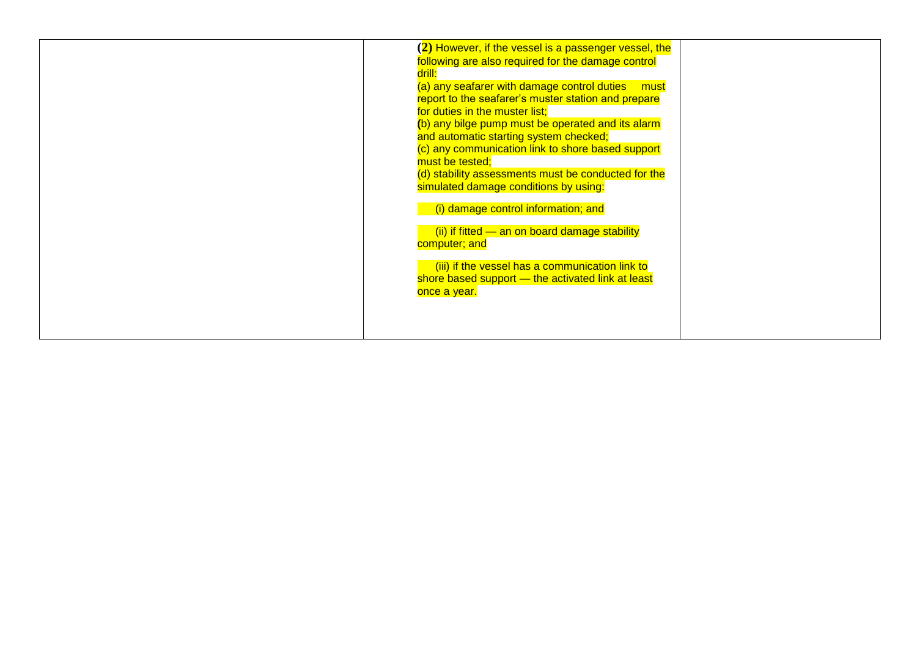| $(2)$ However, if the vessel is a passenger vessel, the |  |
|---------------------------------------------------------|--|
| following are also required for the damage control      |  |
| drill:                                                  |  |
| (a) any seafarer with damage control duties must        |  |
| report to the seafarer's muster station and prepare     |  |
| for duties in the muster list;                          |  |
| (b) any bilge pump must be operated and its alarm       |  |
|                                                         |  |
| and automatic starting system checked;                  |  |
| (c) any communication link to shore based support       |  |
| must be tested;                                         |  |
| (d) stability assessments must be conducted for the     |  |
| simulated damage conditions by using:                   |  |
|                                                         |  |
| (i) damage control information; and                     |  |
|                                                         |  |
| (ii) if fitted - an on board damage stability           |  |
| computer; and                                           |  |
|                                                         |  |
| (iii) if the vessel has a communication link to         |  |
| shore based support - the activated link at least       |  |
| once a year.                                            |  |
|                                                         |  |
|                                                         |  |
|                                                         |  |
|                                                         |  |